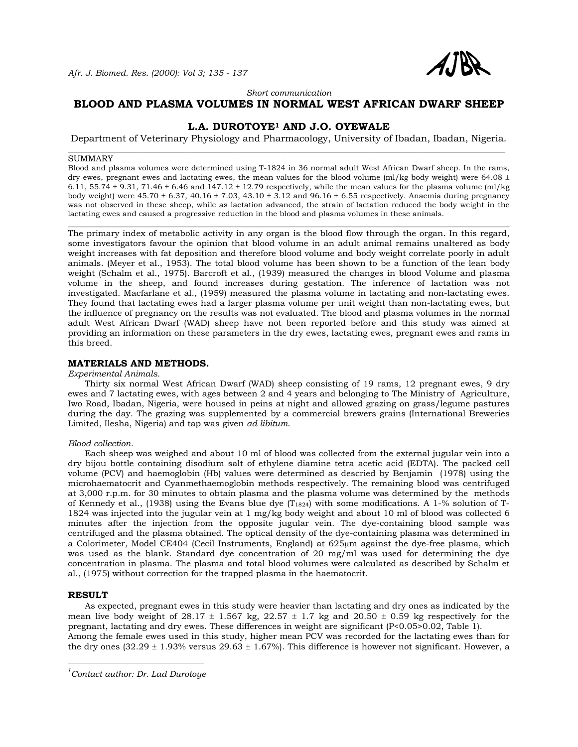

*Short communication* 

## **BLOOD AND PLASMA VOLUMES IN NORMAL WEST AFRICAN DWARF SHEEP**

# **L.A. DUROTOYE1 AND J.O. OYEWALE**

Department of Veterinary Physiology and Pharmacology, University of Ibadan, Ibadan, Nigeria. \_\_\_\_\_\_\_\_\_\_\_\_\_\_\_\_\_\_\_\_\_\_\_\_\_\_\_\_\_\_\_\_\_\_\_\_\_\_\_\_\_\_\_\_\_\_\_\_\_\_\_\_\_\_\_\_\_\_\_\_\_\_\_\_\_\_\_\_\_\_\_\_\_\_\_\_\_\_\_\_\_\_\_\_\_\_\_\_\_\_\_\_\_\_\_\_\_\_\_\_\_\_\_

#### SUMMARY

Blood and plasma volumes were determined using T-1824 in 36 normal adult West African Dwarf sheep. In the rams, dry ewes, pregnant ewes and lactating ewes, the mean values for the blood volume (ml/kg body weight) were 64.08  $\pm$ 6.11, 55.74  $\pm$  9.31, 71.46  $\pm$  6.46 and 147.12  $\pm$  12.79 respectively, while the mean values for the plasma volume (ml/kg) body weight) were  $45.70 \pm 6.37$ ,  $40.16 \pm 7.03$ ,  $43.10 \pm 3.12$  and  $96.16 \pm 6.55$  respectively. Anaemia during pregnancy was not observed in these sheep, while as lactation advanced, the strain of lactation reduced the body weight in the lactating ewes and caused a progressive reduction in the blood and plasma volumes in these animals.

\_\_\_\_\_\_\_\_\_\_\_\_\_\_\_\_\_\_\_\_\_\_\_\_\_\_\_\_\_\_\_\_\_\_\_\_\_\_\_\_\_\_\_\_\_\_\_\_\_\_\_\_\_\_\_\_\_\_\_\_\_\_\_\_\_\_\_\_\_\_\_\_\_\_\_\_\_\_\_\_\_\_\_\_\_\_\_\_\_\_\_\_\_\_\_\_\_\_\_\_\_\_\_\_

The primary index of metabolic activity in any organ is the blood flow through the organ. In this regard, some investigators favour the opinion that blood volume in an adult animal remains unaltered as body weight increases with fat deposition and therefore blood volume and body weight correlate poorly in adult animals. (Meyer et al., 1953). The total blood volume has been shown to be a function of the lean body weight (Schalm et al., 1975). Barcroft et al., (1939) measured the changes in blood Volume and plasma volume in the sheep, and found increases during gestation. The inference of lactation was not investigated. Macfarlane et al., (1959) measured the plasma volume in lactating and non-lactating ewes. They found that lactating ewes had a larger plasma volume per unit weight than non-lactating ewes, but the influence of pregnancy on the results was not evaluated. The blood and plasma volumes in the normal adult West African Dwarf (WAD) sheep have not been reported before and this study was aimed at providing an information on these parameters in the dry ewes, lactating ewes, pregnant ewes and rams in this breed.

## **MATERIALS AND METHODS.**

### *Experimental Animals.*

 Thirty six normal West African Dwarf (WAD) sheep consisting of 19 rams, 12 pregnant ewes, 9 dry ewes and 7 lactating ewes, with ages between 2 and 4 years and belonging to The Ministry of Agriculture, Iwo Road, Ibadan, Nigeria, were housed in peins at night and allowed grazing on grass/legume pastures during the day. The grazing was supplemented by a commercial brewers grains (International Breweries Limited, Ilesha, Nigeria) and tap was given *ad libitum*.

### *Blood collection.*

 Each sheep was weighed and about 10 ml of blood was collected from the external jugular vein into a dry bijou bottle containing disodium salt of ethylene diamine tetra acetic acid (EDTA). The packed cell volume (PCV) and haemoglobin (Hb) values were determined as descried by Benjamin (1978) using the microhaematocrit and Cyanmethaemoglobin methods respectively. The remaining blood was centrifuged at 3,000 r.p.m. for 30 minutes to obtain plasma and the plasma volume was determined by the methods of Kennedy et al., (1938) using the Evans blue dye (T<sub>1824</sub>) with some modifications. A 1-% solution of T-1824 was injected into the jugular vein at 1 mg/kg body weight and about 10 ml of blood was collected 6 minutes after the injection from the opposite jugular vein. The dye-containing blood sample was centrifuged and the plasma obtained. The optical density of the dye-containing plasma was determined in a Colorimeter, Model CE404 (Cecil Instruments, England) at 625µm against the dye-free plasma, which was used as the blank. Standard dye concentration of 20 mg/ml was used for determining the dye concentration in plasma. The plasma and total blood volumes were calculated as described by Schalm et al., (1975) without correction for the trapped plasma in the haematocrit.

### **RESULT**

 $\overline{a}$ 

 As expected, pregnant ewes in this study were heavier than lactating and dry ones as indicated by the mean live body weight of  $28.17 \pm 1.567$  kg,  $22.57 \pm 1.7$  kg and  $20.50 \pm 0.59$  kg respectively for the pregnant, lactating and dry ewes. These differences in weight are significant (P<0.05>0.02, Table 1). Among the female ewes used in this study, higher mean PCV was recorded for the lactating ewes than for the dry ones  $(32.29 \pm 1.93\%$  versus  $29.63 \pm 1.67\%$ ). This difference is however not significant. However, a

*<sup>1</sup> Contact author: Dr. Lad Durotoye*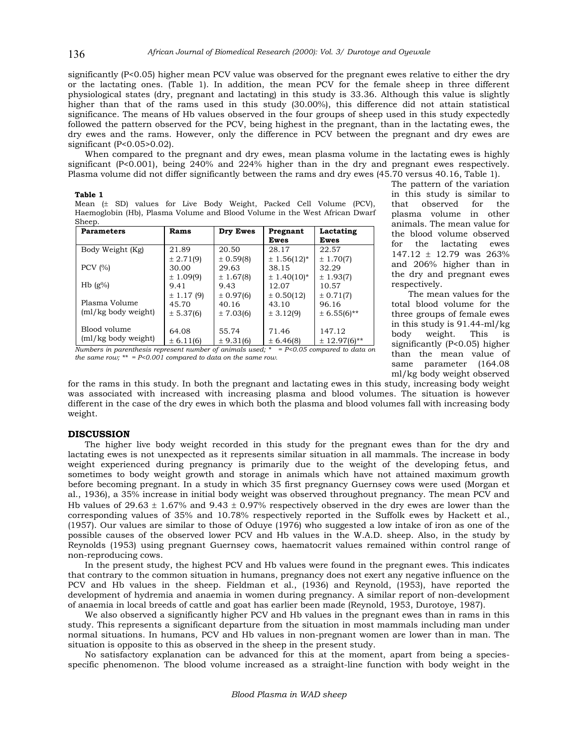significantly (P<0.05) higher mean PCV value was observed for the pregnant ewes relative to either the dry or the lactating ones. (Table 1). In addition, the mean PCV for the female sheep in three different physiological states (dry, pregnant and lactating) in this study is 33.36. Although this value is slightly higher than that of the rams used in this study (30.00%), this difference did not attain statistical significance. The means of Hb values observed in the four groups of sheep used in this study expectedly followed the pattern observed for the PCV, being highest in the pregnant, than in the lactating ewes, the dry ewes and the rams. However, only the difference in PCV between the pregnant and dry ewes are significant (P<0.05>0.02).

 When compared to the pregnant and dry ewes, mean plasma volume in the lactating ewes is highly significant (P<0.001), being 240% and 224% higher than in the dry and pregnant ewes respectively. Plasma volume did not differ significantly between the rams and dry ewes (45.70 versus 40.16, Table 1).

#### **Table 1**

Mean (± SD) values for Live Body Weight, Packed Cell Volume (PCV), Haemoglobin (Hb), Plasma Volume and Blood Volume in the West African Dwarf Sheep.

| <b>Parameters</b>      | Rams           | Dry Ewes  | Pregnant<br>Ewes | Lactating<br>Ewes |
|------------------------|----------------|-----------|------------------|-------------------|
| Body Weight (Kg)       | 21.89          | 20.50     | 28.17            | 22.57             |
|                        | ± 2.71(9)      | ± 0.59(8) | $± 1.56(12)*$    | ± 1.70(7)         |
| PCV $(% )$             | 30.00          | 29.63     | 38.15            | 32.29             |
|                        | ± 1.09(9)      | ± 1.67(8) | $\pm$ 1.40(10)*  | ± 1.93(7)         |
| H <sub>b</sub> $(g\%)$ | 9.41           | 9.43      | 12.07            | 10.57             |
|                        | $\pm$ 1.17 (9) | ± 0.97(6) | $\pm$ 0.50(12)   | $\pm 0.71(7)$     |
| Plasma Volume          | 45.70          | 40.16     | 43.10            | 96.16             |
| (ml/kg body weight)    | ± 5.37(6)      | ± 7.03(6) | ± 3.12(9)        | $± 6.55(6)**$     |
|                        |                |           |                  |                   |
| Blood volume           | 64.08          | 55.74     | 71.46            | 147.12            |
| (ml/kg body weight)    | $\pm 6.11(6)$  | ± 9.31(6) | ± 6.46(8)        | $± 12.97(6)**$    |

*Numbers in parenthesis represent number of animals used; \* = P<0.05 compared to data on the same row; \*\* = P<0.001 compared to data on the same row.* 

The pattern of the variation in this study is similar to that observed for the plasma volume in other animals. The mean value for the blood volume observed for the lactating ewes 147.12 ± 12.79 was 263% and 206% higher than in the dry and pregnant ewes respectively.

 The mean values for the total blood volume for the three groups of female ewes in this study is 91.44-ml/kg body weight. This is significantly (P<0.05) higher than the mean value of same parameter (164.08 ml/kg body weight observed

for the rams in this study. In both the pregnant and lactating ewes in this study, increasing body weight was associated with increased with increasing plasma and blood volumes. The situation is however different in the case of the dry ewes in which both the plasma and blood volumes fall with increasing body weight.

### **DISCUSSION**

 The higher live body weight recorded in this study for the pregnant ewes than for the dry and lactating ewes is not unexpected as it represents similar situation in all mammals. The increase in body weight experienced during pregnancy is primarily due to the weight of the developing fetus, and sometimes to body weight growth and storage in animals which have not attained maximum growth before becoming pregnant. In a study in which 35 first pregnancy Guernsey cows were used (Morgan et al., 1936), a 35% increase in initial body weight was observed throughout pregnancy. The mean PCV and Hb values of 29.63  $\pm$  1.67% and 9.43  $\pm$  0.97% respectively observed in the dry ewes are lower than the corresponding values of 35% and 10.78% respectively reported in the Suffolk ewes by Hackett et al., (1957). Our values are similar to those of Oduye (1976) who suggested a low intake of iron as one of the possible causes of the observed lower PCV and Hb values in the W.A.D. sheep. Also, in the study by Reynolds (1953) using pregnant Guernsey cows, haematocrit values remained within control range of non-reproducing cows.

 In the present study, the highest PCV and Hb values were found in the pregnant ewes. This indicates that contrary to the common situation in humans, pregnancy does not exert any negative influence on the PCV and Hb values in the sheep. Fieldman et al., (1936) and Reynold, (1953), have reported the development of hydremia and anaemia in women during pregnancy. A similar report of non-development of anaemia in local breeds of cattle and goat has earlier been made (Reynold, 1953, Durotoye, 1987).

 We also observed a significantly higher PCV and Hb values in the pregnant ewes than in rams in this study. This represents a significant departure from the situation in most mammals including man under normal situations. In humans, PCV and Hb values in non-pregnant women are lower than in man. The situation is opposite to this as observed in the sheep in the present study.

 No satisfactory explanation can be advanced for this at the moment, apart from being a speciesspecific phenomenon. The blood volume increased as a straight-line function with body weight in the

136